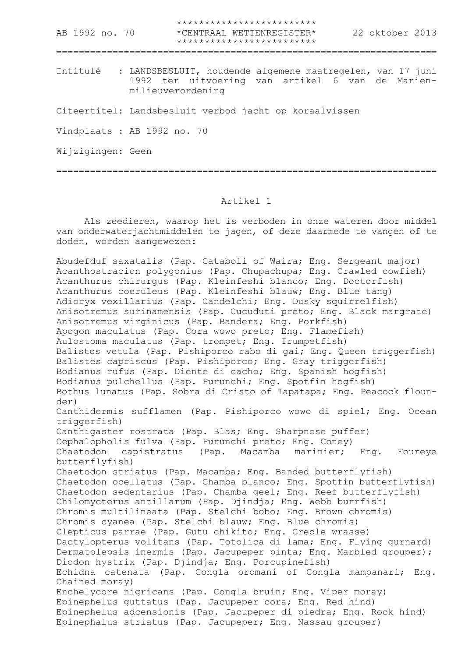\*\*\*\*\*\*\*\*\*\*\*\*\*\*\*\*\*\*\*\*\*\*\*\*\* AB 1992 no. 70 \*CENTRAAL WETTENREGISTER\* 22 oktober 2013 \*\*\*\*\*\*\*\*\*\*\*\*\*\*\*\*\*\*\*\*\*\*\*\*\* ==================================================================== Intitulé : LANDSBESLUIT, houdende algemene maatregelen, van 17 juni 1992 ter uitvoering van artikel 6 van de Marienmilieuverordening Citeertitel: Landsbesluit verbod jacht op koraalvissen Vindplaats : AB 1992 no. 70 Wijzigingen: Geen ====================================================================

## Artikel 1

Als zeedieren, waarop het is verboden in onze wateren door middel van onderwaterjachtmiddelen te jagen, of deze daarmede te vangen of te doden, worden aangewezen:

Abudefduf saxatalis (Pap. Cataboli of Waira; Eng. Sergeant major) Acanthostracion polygonius (Pap. Chupachupa; Eng. Crawled cowfish) Acanthurus chirurgus (Pap. Kleinfeshi blanco; Eng. Doctorfish) Acanthurus coeruleus (Pap. Kleinfeshi blauw; Eng. Blue tang) Adioryx vexillarius (Pap. Candelchi; Eng. Dusky squirrelfish) Anisotremus surinamensis (Pap. Cucuduti preto; Eng. Black margrate) Anisotremus virginicus (Pap. Bandera; Eng. Porkfish) Apogon maculatus (Pap. Cora wowo preto; Eng. Flamefish) Aulostoma maculatus (Pap. trompet; Eng. Trumpetfish) Balistes vetula (Pap. Pishiporco rabo di gai; Eng. Queen triggerfish) Balistes capriscus (Pap. Pishiporco; Eng. Gray triggerfish) Bodianus rufus (Pap. Diente di cacho; Eng. Spanish hogfish) Bodianus pulchellus (Pap. Purunchi; Eng. Spotfin hogfish) Bothus lunatus (Pap. Sobra di Cristo of Tapatapa; Eng. Peacock flounder) Canthidermis sufflamen (Pap. Pishiporco wowo di spiel; Eng. Ocean triggerfish) Canthigaster rostrata (Pap. Blas; Eng. Sharpnose puffer) Cephalopholis fulva (Pap. Purunchi preto; Eng. Coney) Chaetodon capistratus (Pap. Macamba marinier; Eng. Foureye butterflyfish) Chaetodon striatus (Pap. Macamba; Eng. Banded butterflyfish) Chaetodon ocellatus (Pap. Chamba blanco; Eng. Spotfin butterflyfish) Chaetodon sedentarius (Pap. Chamba geel; Eng. Reef butterflyfish) Chilomycterus antillarum (Pap. Djindja; Eng. Webb burrfish) Chromis multilineata (Pap. Stelchi bobo; Eng. Brown chromis) Chromis cyanea (Pap. Stelchi blauw; Eng. Blue chromis) Clepticus parrae (Pap. Gutu chikito; Eng. Creole wrasse) Dactylopterus volitans (Pap. Totolica di lama; Eng. Flying gurnard) Dermatolepsis inermis (Pap. Jacupeper pinta; Eng. Marbled grouper); Diodon hystrix (Pap. Djindja; Eng. Porcupinefish) Echidna catenata (Pap. Congla oromani of Congla mampanari; Eng. Chained moray) Enchelycore nigricans (Pap. Congla bruin; Eng. Viper moray) Epinephelus guttatus (Pap. Jacupeper cora; Eng. Red hind) Epinephelus adcensionis (Pap. Jacupeper di piedra; Eng. Rock hind) Epinephalus striatus (Pap. Jacupeper; Eng. Nassau grouper)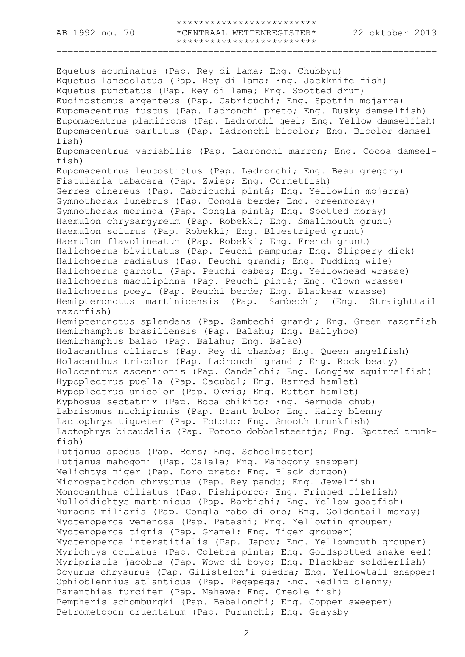\*\*\*\*\*\*\*\*\*\*\*\*\*\*\*\*\*\*\*\*\*\*\*\*\* AB 1992 no. 70 \*CENTRAAL WETTENREGISTER\* 22 oktober 2013 \*\*\*\*\*\*\*\*\*\*\*\*\*\*\*\*\*\*\*\*\*\*\*\*\*

====================================================================

Equetus acuminatus (Pap. Rey di lama; Eng. Chubbyu) Equetus lanceolatus (Pap. Rey di lama; Eng. Jackknife fish) Equetus punctatus (Pap. Rey di lama; Eng. Spotted drum) Eucinostomus argenteus (Pap. Cabricuchi; Eng. Spotfin mojarra) Eupomacentrus fuscus (Pap. Ladronchi preto; Eng. Dusky damselfish) Eupomacentrus planifrons (Pap. Ladronchi geel; Eng. Yellow damselfish) Eupomacentrus partitus (Pap. Ladronchi bicolor; Eng. Bicolor damselfish) Eupomacentrus variabilis (Pap. Ladronchi marron; Eng. Cocoa damselfish) Eupomacentrus leucostictus (Pap. Ladronchi; Eng. Beau gregory) Fistularia tabacara (Pap. Zwiep; Eng. Cornetfish) Gerres cinereus (Pap. Cabricuchi pintá; Eng. Yellowfin mojarra) Gymnothorax funebris (Pap. Congla berde; Eng. greenmoray) Gymnothorax moringa (Pap. Congla pintá; Eng. Spotted moray) Haemulon chrysargyreum (Pap. Robekki; Eng. Smallmouth grunt) Haemulon sciurus (Pap. Robekki; Eng. Bluestriped grunt) Haemulon flavolineatum (Pap. Robekki; Eng. French grunt) Halichoerus bivittatus (Pap. Peuchi pampuna; Eng. Slippery dick) Halichoerus radiatus (Pap. Peuchi grandi; Eng. Pudding wife) Halichoerus garnoti (Pap. Peuchi cabez; Eng. Yellowhead wrasse) Halichoerus maculipinna (Pap. Peuchi pintá; Eng. Clown wrasse) Halichoerus poeyi (Pap. Peuchi berde; Eng. Blackear wrasse) Hemipteronotus martinicensis (Pap. Sambechi; (Eng. Straighttail razorfish) Hemipteronotus splendens (Pap. Sambechi grandi; Eng. Green razorfish Hemirhamphus brasiliensis (Pap. Balahu; Eng. Ballyhoo) Hemirhamphus balao (Pap. Balahu; Eng. Balao) Holacanthus ciliaris (Pap. Rey di chamba; Eng. Queen angelfish) Holacanthus tricolor (Pap. Ladronchi grandi; Eng. Rock beaty) Holocentrus ascensionis (Pap. Candelchi; Eng. Longjaw squirrelfish) Hypoplectrus puella (Pap. Cacubol; Eng. Barred hamlet) Hypoplectrus unicolor (Pap. Okvis; Eng. Butter hamlet) Kyphosus sectatrix (Pap. Boca chikito; Eng. Bermuda chub) Labrisomus nuchipinnis (Pap. Brant bobo; Eng. Hairy blenny Lactophrys tiqueter (Pap. Fototo; Eng. Smooth trunkfish) Lactophrys bicaudalis (Pap. Fototo dobbelsteentje; Eng. Spotted trunkfish) Lutjanus apodus (Pap. Bers; Eng. Schoolmaster) Lutjanus mahogoni (Pap. Calala; Eng. Mahogony snapper) Melichtys niger (Pap. Doro preto; Eng. Black durgon) Microspathodon chrysurus (Pap. Rey pandu; Eng. Jewelfish) Monocanthus ciliatus (Pap. Pishiporco; Eng. Fringed filefish) Mulloidichtys martinicus (Pap. Barbishi; Eng. Yellow goatfish) Muraena miliaris (Pap. Congla rabo di oro; Eng. Goldentail moray) Mycteroperca venenosa (Pap. Patashi; Eng. Yellowfin grouper) Mycteroperca tigris (Pap. Gramel; Eng. Tiger grouper) Mycteroperca interstitialis (Pap. Japou; Eng. Yellowmouth grouper) Myrichtys oculatus (Pap. Colebra pinta; Eng. Goldspotted snake eel) Myripristis jacobus (Pap. Wowo di boyo; Eng. Blackbar soldierfish) Ocyurus chrysurus (Pap. Gilistelch'i piedra; Eng. Yellowtail snapper) Ophioblennius atlanticus (Pap. Pegapega; Eng. Redlip blenny) Paranthias furcifer (Pap. Mahawa; Eng. Creole fish) Pempheris schomburgki (Pap. Babalonchi; Eng. Copper sweeper) Petrometopon cruentatum (Pap. Purunchi; Eng. Graysby